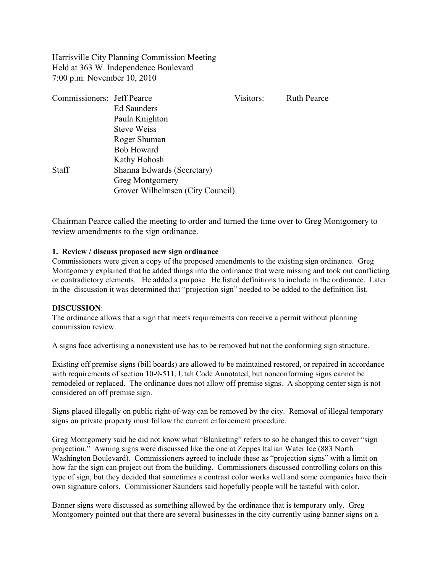Harrisville City Planning Commission Meeting Held at 363 W. Independence Boulevard 7:00 p.m. November 10, 2010

| Commissioners: Jeff Pearce |                                  | Visitors: | <b>Ruth Pearce</b> |
|----------------------------|----------------------------------|-----------|--------------------|
|                            | <b>Ed Saunders</b>               |           |                    |
|                            | Paula Knighton                   |           |                    |
|                            | <b>Steve Weiss</b>               |           |                    |
|                            | Roger Shuman                     |           |                    |
|                            | <b>Bob Howard</b>                |           |                    |
|                            | Kathy Hohosh                     |           |                    |
| <b>Staff</b>               | Shanna Edwards (Secretary)       |           |                    |
|                            | <b>Greg Montgomery</b>           |           |                    |
|                            | Grover Wilhelmsen (City Council) |           |                    |

Chairman Pearce called the meeting to order and turned the time over to Greg Montgomery to review amendments to the sign ordinance.

#### **1. Review / discuss proposed new sign ordinance**

Commissioners were given a copy of the proposed amendments to the existing sign ordinance. Greg Montgomery explained that he added things into the ordinance that were missing and took out conflicting or contradictory elements. He added a purpose. He listed definitions to include in the ordinance. Later in the discussion it was determined that "projection sign" needed to be added to the definition list.

#### **DISCUSSION**:

The ordinance allows that a sign that meets requirements can receive a permit without planning commission review.

A signs face advertising a nonexistent use has to be removed but not the conforming sign structure.

Existing off premise signs (bill boards) are allowed to be maintained restored, or repaired in accordance with requirements of section 10-9-511, Utah Code Annotated, but nonconforming signs cannot be remodeled or replaced. The ordinance does not allow off premise signs. A shopping center sign is not considered an off premise sign.

Signs placed illegally on public right-of-way can be removed by the city. Removal of illegal temporary signs on private property must follow the current enforcement procedure.

Greg Montgomery said he did not know what "Blanketing" refers to so he changed this to cover "sign projection." Awning signs were discussed like the one at Zeppes Italian Water Ice (883 North Washington Boulevard). Commissioners agreed to include these as "projection signs" with a limit on how far the sign can project out from the building. Commissioners discussed controlling colors on this type of sign, but they decided that sometimes a contrast color works well and some companies have their own signature colors. Commissioner Saunders said hopefully people will be tasteful with color.

Banner signs were discussed as something allowed by the ordinance that is temporary only. Greg Montgomery pointed out that there are several businesses in the city currently using banner signs on a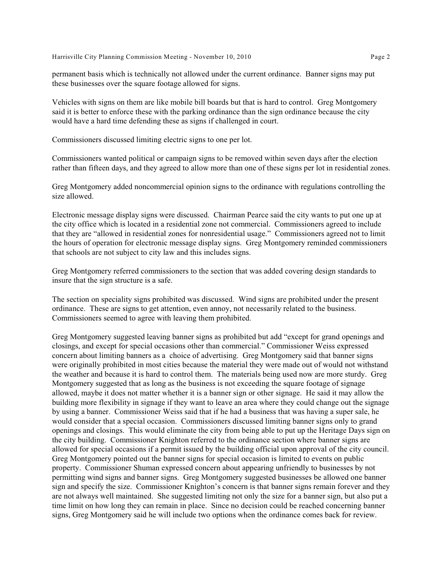Harrisville City Planning Commission Meeting - November 10, 2010 **Page 2** Page 2

permanent basis which is technically not allowed under the current ordinance. Banner signs may put these businesses over the square footage allowed for signs.

Vehicles with signs on them are like mobile bill boards but that is hard to control. Greg Montgomery said it is better to enforce these with the parking ordinance than the sign ordinance because the city would have a hard time defending these as signs if challenged in court.

Commissioners discussed limiting electric signs to one per lot.

Commissioners wanted political or campaign signs to be removed within seven days after the election rather than fifteen days, and they agreed to allow more than one of these signs per lot in residential zones.

Greg Montgomery added noncommercial opinion signs to the ordinance with regulations controlling the size allowed.

Electronic message display signs were discussed. Chairman Pearce said the city wants to put one up at the city office which is located in a residential zone not commercial. Commissioners agreed to include that they are "allowed in residential zones for nonresidential usage." Commissioners agreed not to limit the hours of operation for electronic message display signs. Greg Montgomery reminded commissioners that schools are not subject to city law and this includes signs.

Greg Montgomery referred commissioners to the section that was added covering design standards to insure that the sign structure is a safe.

The section on speciality signs prohibited was discussed. Wind signs are prohibited under the present ordinance. These are signs to get attention, even annoy, not necessarily related to the business. Commissioners seemed to agree with leaving them prohibited.

Greg Montgomery suggested leaving banner signs as prohibited but add "except for grand openings and closings, and except for special occasions other than commercial." Commissioner Weiss expressed concern about limiting banners as a choice of advertising. Greg Montgomery said that banner signs were originally prohibited in most cities because the material they were made out of would not withstand the weather and because it is hard to control them. The materials being used now are more sturdy. Greg Montgomery suggested that as long as the business is not exceeding the square footage of signage allowed, maybe it does not matter whether it is a banner sign or other signage. He said it may allow the building more flexibility in signage if they want to leave an area where they could change out the signage by using a banner. Commissioner Weiss said that if he had a business that was having a super sale, he would consider that a special occasion. Commissioners discussed limiting banner signs only to grand openings and closings. This would eliminate the city from being able to put up the Heritage Days sign on the city building. Commissioner Knighton referred to the ordinance section where banner signs are allowed for special occasions if a permit issued by the building official upon approval of the city council. Greg Montgomery pointed out the banner signs for special occasion is limited to events on public property. Commissioner Shuman expressed concern about appearing unfriendly to businesses by not permitting wind signs and banner signs. Greg Montgomery suggested businesses be allowed one banner sign and specify the size. Commissioner Knighton's concern is that banner signs remain forever and they are not always well maintained. She suggested limiting not only the size for a banner sign, but also put a time limit on how long they can remain in place. Since no decision could be reached concerning banner signs, Greg Montgomery said he will include two options when the ordinance comes back for review.